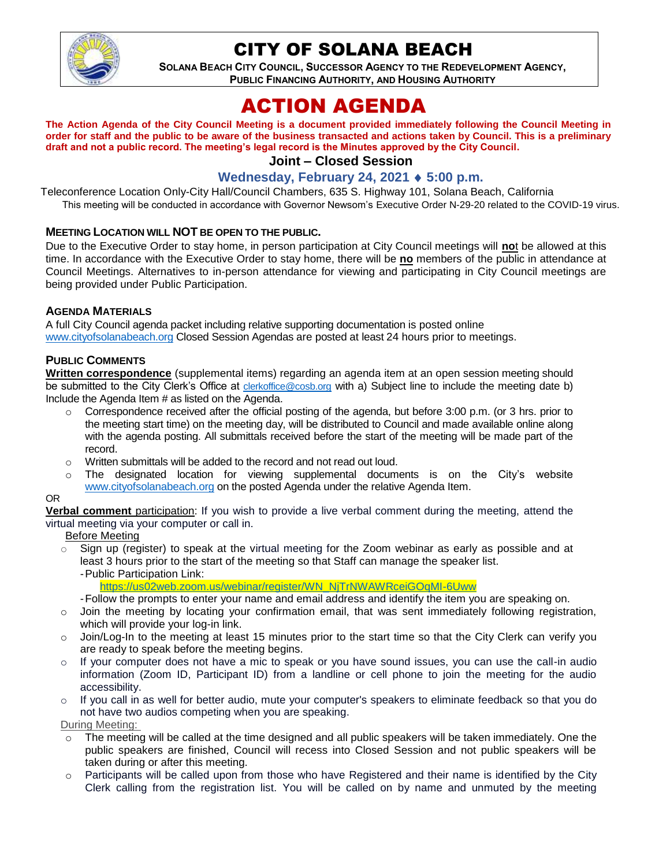

# CITY OF SOLANA BEACH

**SOLANA BEACH CITY COUNCIL, SUCCESSOR AGENCY TO THE REDEVELOPMENT AGENCY, PUBLIC FINANCING AUTHORITY, AND HOUSING AUTHORITY** 

# ACTION AGENDA

**The Action Agenda of the City Council Meeting is a document provided immediately following the Council Meeting in order for staff and the public to be aware of the business transacted and actions taken by Council. This is a preliminary draft and not a public record. The meeting's legal record is the Minutes approved by the City Council.**

# **Joint – Closed Session**

### **Wednesday, February 24, 2021 5:00 p.m.**

Teleconference Location Only-City Hall/Council Chambers, 635 S. Highway 101, Solana Beach, California This meeting will be conducted in accordance with Governor Newsom's Executive Order N-29-20 related to the COVID-19 virus.

#### **MEETING LOCATION WILL NOT BE OPEN TO THE PUBLIC.**

Due to the Executive Order to stay home, in person participation at City Council meetings will **no**t be allowed at this time. In accordance with the Executive Order to stay home, there will be no members of the public in attendance at Council Meetings. Alternatives to in-person attendance for viewing and participating in City Council meetings are being provided under Public Participation.

#### **AGENDA MATERIALS**

A full City Council agenda packet including relative supporting documentation is posted online [www.cityofsolanabeach.org](https://urldefense.proofpoint.com/v2/url?u=http-3A__www.cityofsolanabeach.org&d=DwQFAg&c=euGZstcaTDllvimEN8b7jXrwqOf-v5A_CdpgnVfiiMM&r=1XAsCUuqwK_tji2t0s1uIQ&m=wny2RVfZJ2tN24LkqZmkUWNpwL_peNtTZUBlTBZiMM4&s=6ATguqxJUOD7VVtloplAbyuyNaVcEh6Fl4q1iw55lCY&e=) Closed Session Agendas are posted at least 24 hours prior to meetings.

#### **PUBLIC COMMENTS**

**Written correspondence** (supplemental items) regarding an agenda item at an open session meeting should be submitted to the City Clerk's Office at [clerkoffice@cosb.org](mailto:clerkoffice@cosb.org) with a) Subject line to include the meeting date b) Include the Agenda Item # as listed on the Agenda.

- $\circ$  Correspondence received after the official posting of the agenda, but before 3:00 p.m. (or 3 hrs. prior to the meeting start time) on the meeting day, will be distributed to Council and made available online along with the agenda posting. All submittals received before the start of the meeting will be made part of the record.
- o Written submittals will be added to the record and not read out loud.
- $\circ$  The designated location for viewing supplemental documents is on the City's website [www.cityofsolanabeach.org](http://www.cityofsolanabeach.org/) on the posted Agenda under the relative Agenda Item.

#### OR

**Verbal comment** participation: If you wish to provide a live verbal comment during the meeting, attend the virtual meeting via your computer or call in.

#### Before Meeting

- $\circ$  Sign up (register) to speak at the virtual meeting for the Zoom webinar as early as possible and at least 3 hours prior to the start of the meeting so that Staff can manage the speaker list. -Public Participation Link:
	- [https://us02web.zoom.us/webinar/register/WN\\_NjTrNWAWRceiGOqMI-6Uww](https://us02web.zoom.us/webinar/register/WN_NjTrNWAWRceiGOqMI-6Uww)
	- -Follow the prompts to enter your name and email address and identify the item you are speaking on.
- $\circ$  Join the meeting by locating your confirmation email, that was sent immediately following registration, which will provide your log-in link.
- $\circ$  Join/Log-In to the meeting at least 15 minutes prior to the start time so that the City Clerk can verify you are ready to speak before the meeting begins.
- $\circ$  If your computer does not have a mic to speak or you have sound issues, you can use the call-in audio information (Zoom ID, Participant ID) from a landline or cell phone to join the meeting for the audio accessibility.
- o If you call in as well for better audio, mute your computer's speakers to eliminate feedback so that you do not have two audios competing when you are speaking.

During Meeting:

- $\circ$  The meeting will be called at the time designed and all public speakers will be taken immediately. One the public speakers are finished, Council will recess into Closed Session and not public speakers will be taken during or after this meeting.
- $\circ$  Participants will be called upon from those who have Registered and their name is identified by the City Clerk calling from the registration list. You will be called on by name and unmuted by the meeting